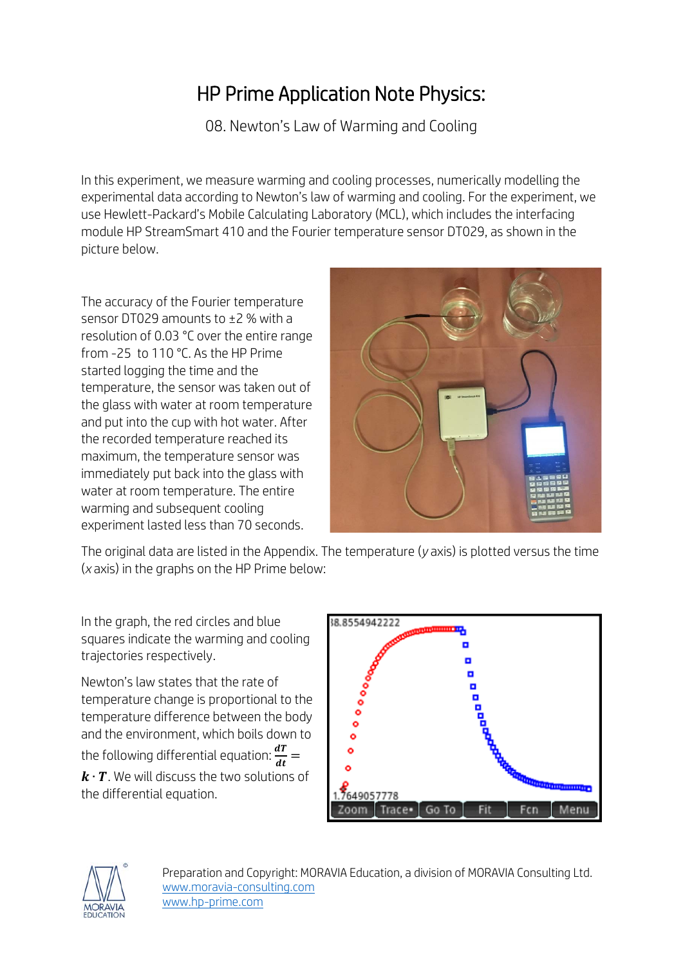## HP Prime Application Note Physics:

08. Newton's Law of Warming and Cooling

In this experiment, we measure warming and cooling processes, numerically modelling the experimental data according to Newton's law of warming and cooling. For the experiment, we use Hewlett-Packard's Mobile Calculating Laboratory (MCL), which includes the interfacing module HP StreamSmart 410 and the Fourier temperature sensor DT029, as shown in the picture below.

The accuracy of the Fourier temperature sensor DT029 amounts to ±2 % with a resolution of 0.03 °C over the entire range from -25 to 110 °C. As the HP Prime started logging the time and the temperature, the sensor was taken out of the glass with water at room temperature and put into the cup with hot water. After the recorded temperature reached its maximum, the temperature sensor was immediately put back into the glass with water at room temperature. The entire warming and subsequent cooling experiment lasted less than 70 seconds.



The original data are listed in the Appendix. The temperature (*y* axis) is plotted versus the time (*x* axis) in the graphs on the HP Prime below:

In the graph, the red circles and blue squares indicate the warming and cooling trajectories respectively.

Newton's law states that the rate of temperature change is proportional to the temperature difference between the body and the environment, which boils down to the following differential equation:  $\frac{dT}{dt} =$  $k \cdot T$ . We will discuss the two solutions of the differential equation.



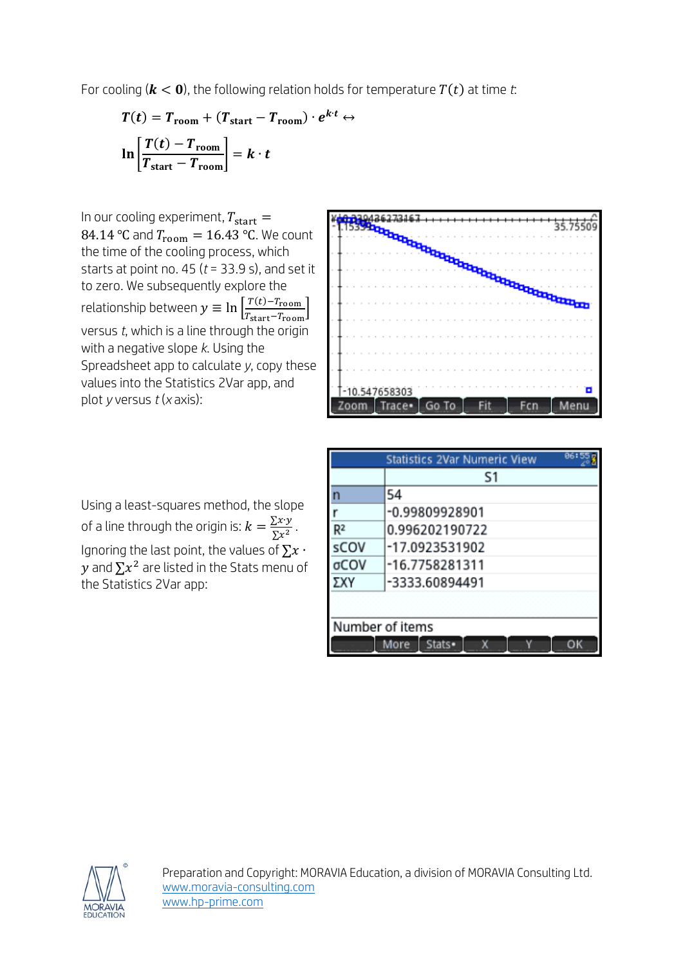For cooling ( $k < 0$ ), the following relation holds for temperature  $T(t)$  at time *t*:

$$
T(t) = T_{\text{room}} + (T_{\text{start}} - T_{\text{room}}) \cdot e^{k \cdot t} \leftrightarrow
$$

$$
\ln \left[ \frac{T(t) - T_{\text{room}}}{T_{\text{start}} - T_{\text{room}}} \right] = k \cdot t
$$

In our cooling experiment,  $T_{\text{start}} =$ 84.14 °C and  $T_{\text{room}} = 16.43$  °C. We count the time of the cooling process, which starts at point no. 45 (*t* = 33.9 s), and set it to zero. We subsequently explore the relationship between  $y \equiv \ln \left| \frac{T(t) - T_{\rm room}}{T_{\rm atom} - T_{\rm room}} \right|$  $rac{I(t)-I_{\text{room}}}{T_{\text{start}}-T_{\text{room}}}\Big|$ versus *t*, which is a line through the origin with a negative slope *k*. Using the Spreadsheet app to calculate *y*, copy these values into the Statistics 2Var app, and plot *y* versus *t* (*x* axis):

Using a least-squares method, the slope of a line through the origin is:  $k = \frac{\sum x \cdot y}{\sum x^2}$ . Ignoring the last point, the values of  $\Sigma x$ . y and  $\Sigma x^2$  are listed in the Stats menu of the Statistics 2Var app:



| 86:5<br><b>Statistics 2Var Numeric View</b> |                |  |  |  |
|---------------------------------------------|----------------|--|--|--|
|                                             | S1             |  |  |  |
| n                                           | 54             |  |  |  |
|                                             | -0.99809928901 |  |  |  |
| R <sup>2</sup>                              | 0.996202190722 |  |  |  |
| sCOV                                        | -17.0923531902 |  |  |  |
| σCOV                                        | -16.7758281311 |  |  |  |
| ΣXΥ                                         | -3333.60894491 |  |  |  |
|                                             |                |  |  |  |
| Number of items                             |                |  |  |  |
|                                             | Stats•<br>More |  |  |  |

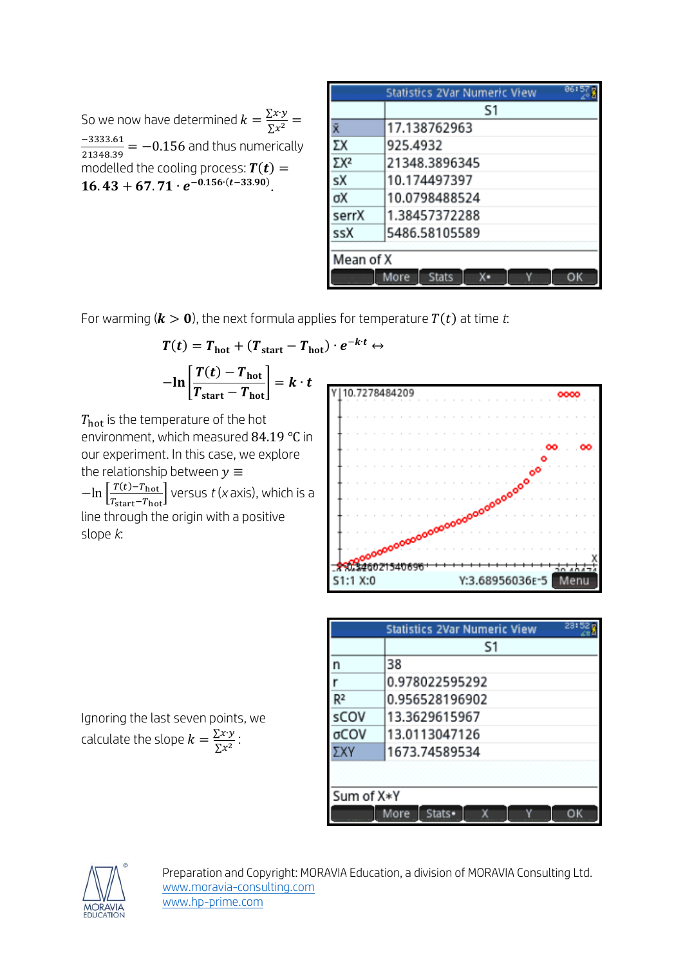So we now have determined  $k = \frac{\sum x \cdot y}{\sum x^2}$  $\frac{-3333.61}{21348.39}$  =  $-0.156$  and thus numerically modelled the cooling process:  $\bm{T(t)} =$ 16.43 + 67.71  $\cdot$   $e^{-0.156 \cdot (t-33.90)}$ .

| Statistics 2Var Numeric View |                |  |  |  |  |
|------------------------------|----------------|--|--|--|--|
|                              | S <sub>1</sub> |  |  |  |  |
|                              | 17.138762963   |  |  |  |  |
|                              | 925.4932       |  |  |  |  |
| ΣХ2                          | 21348.3896345  |  |  |  |  |
| sX                           | 10.174497397   |  |  |  |  |
| σX                           | 10.0798488524  |  |  |  |  |
| serrX                        | 1.38457372288  |  |  |  |  |
| ssX                          | 5486.58105589  |  |  |  |  |
|                              |                |  |  |  |  |
| Mean of X                    |                |  |  |  |  |
|                              | Stats<br>More  |  |  |  |  |

For warming ( $k > 0$ ), the next formula applies for temperature  $T(t)$  at time *t*:

$$
T(t) = T_{\text{hot}} + (T_{\text{start}} - T_{\text{hot}}) \cdot e^{-k \cdot t} \leftrightarrow
$$

$$
-\ln\left[\frac{T(t) - T_{\text{hot}}}{T_{\text{start}} - T_{\text{hot}}}\right] = k \cdot t
$$

 $T_{\text{hot}}$  is the temperature of the hot environment, which measured 84.19 ℃ in our experiment. In this case, we explore the relationship between  $y \equiv$  $-\ln\left[\frac{T(t)-T_{\rm hot}}{T_{\rm start}-T_{\rm hot}}\right]$  versus *t* (*x* axis), which is a line through the origin with a positive slope *k*:



| 23:52<br><b>Statistics 2Var Numeric View</b> |                |  |  |  |  |
|----------------------------------------------|----------------|--|--|--|--|
|                                              | S1             |  |  |  |  |
| n                                            | 38             |  |  |  |  |
|                                              | 0.978022595292 |  |  |  |  |
| R <sup>2</sup>                               | 0.956528196902 |  |  |  |  |
| sCOV                                         | 13.3629615967  |  |  |  |  |
| σCOV                                         | 13.0113047126  |  |  |  |  |
| ΣXΥ                                          | 1673.74589534  |  |  |  |  |
|                                              |                |  |  |  |  |
| Sum of X*Y                                   |                |  |  |  |  |
|                                              | Stats•<br>More |  |  |  |  |

Ignoring the last seven points, we calculate the slope  $k = \frac{\sum x \cdot y}{\sum x^2}$ :

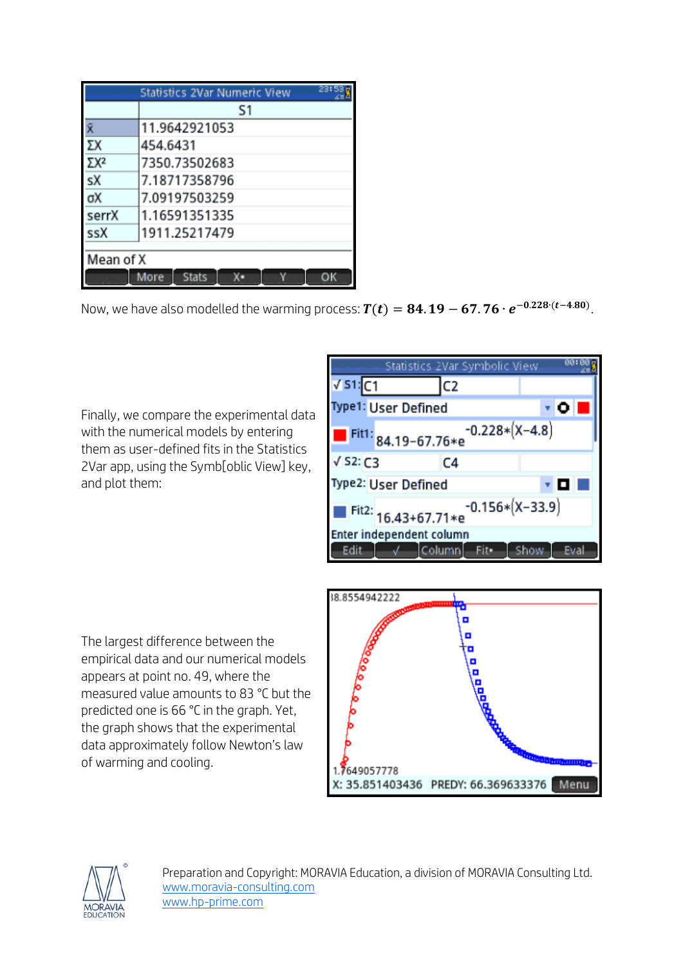| 23:5<br>Statistics 2Var Numeric View |                                  |  |  |  |  |
|--------------------------------------|----------------------------------|--|--|--|--|
|                                      | S1                               |  |  |  |  |
| Ÿ.                                   | 11.9642921053                    |  |  |  |  |
| ΣX                                   | 454.6431                         |  |  |  |  |
| ΣX <sup>2</sup>                      | 7350.73502683                    |  |  |  |  |
| sX                                   | 7.18717358796                    |  |  |  |  |
| σX                                   | 7.09197503259                    |  |  |  |  |
| serrX                                | 1.16591351335                    |  |  |  |  |
| ssX                                  | 1911.25217479                    |  |  |  |  |
|                                      |                                  |  |  |  |  |
| Mean of X                            |                                  |  |  |  |  |
|                                      | <b>Stats</b><br>More<br>x٠<br>ОΚ |  |  |  |  |

Now, we have also modelled the warming process:  $\bm{T(t)} = \bm{84.19} - \bm{67.76\cdot e^{-0.228\cdot (t - 4.80)}}$ .

Finally, we compare the experimental data with the numerical models by entering them as user-defined fits in the Statistics 2Var app, using the Symb[oblic View] key, and plot them:

|                                          |  | Statistics 2Var Symbolic View |                  |  | 00:  |  |
|------------------------------------------|--|-------------------------------|------------------|--|------|--|
| $\sqrt{51}$ :C1                          |  | C <sub>2</sub>                |                  |  |      |  |
| <b>Type1: User Defined</b>               |  |                               |                  |  | ۳Ō   |  |
|                                          |  | Fit1: 84.19-67.76*e           | $-0.228*(X-4.8)$ |  |      |  |
| $\sqrt{$ S2: C3                          |  | C <sub>4</sub>                |                  |  |      |  |
| Type2: User Defined<br><b>v</b> 0 0      |  |                               |                  |  |      |  |
| $-0.156*(X-33.9)$<br>Fit2: 16.43+67.71*e |  |                               |                  |  |      |  |
|                                          |  | Enter independent column      |                  |  |      |  |
| Edit                                     |  | √ Column Fit• Show            |                  |  | Eval |  |

The largest difference between the empirical data and our numerical models appears at point no. 49, where the measured value amounts to 83 °C but the predicted one is 66 °C in the graph. Yet, the graph shows that the experimental data approximately follow Newton's law of warming and cooling.



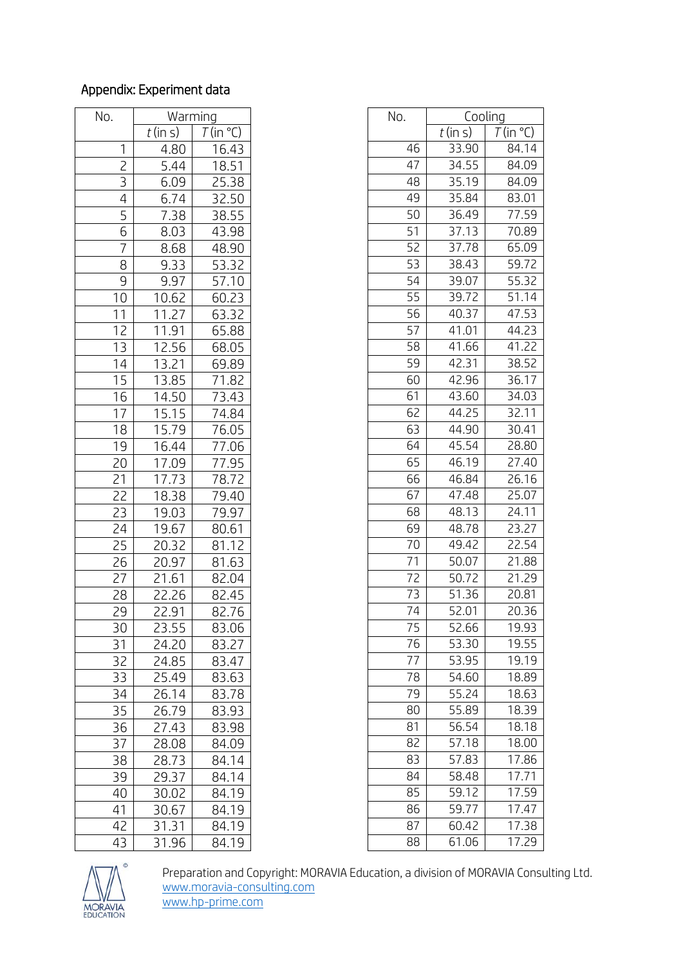## Appendix: Experiment data

| No.            | Warming    |                       | No. | Cooling    |        |
|----------------|------------|-----------------------|-----|------------|--------|
|                | $t$ (in s) | $T$ (in $^{\circ}$ C) |     | $t$ (in s) | $\tau$ |
| 1              | 4.80       | 16.43                 | 46  | 33.90      |        |
| $\overline{c}$ | 5.44       | 18.51                 | 47  | 34.55      |        |
| 3              | 6.09       | 25.38                 | 48  | 35.19      |        |
| 4              | 6.74       | 32.50                 | 49  | 35.84      |        |
| 5              | 7.38       | 38.55                 | 50  | 36.49      |        |
| 6              | 8.03       | 43.98                 | 51  | 37.13      |        |
| $\overline{7}$ | 8.68       | 48.90                 | 52  | 37.78      |        |
| 8              | 9.33       | 53.32                 | 53  | 38.43      |        |
| 9              | 9.97       | 57.10                 | 54  | 39.07      |        |
| 10             | 10.62      | 60.23                 | 55  | 39.72      |        |
| 11             | 11.27      | 63.32                 | 56  | 40.37      |        |
| 12             | 11.91      | 65.88                 | 57  | 41.01      |        |
| 13             | 12.56      | 68.05                 | 58  | 41.66      |        |
| 14             | 13.21      | 69.89                 | 59  | 42.31      |        |
| 15             | 13.85      | 71.82                 | 60  | 42.96      |        |
| 16             | 14.50      | 73.43                 | 61  | 43.60      |        |
| 17             | 15.15      | 74.84                 | 62  | 44.25      |        |
| 18             | 15.79      | 76.05                 | 63  | 44.90      |        |
| 19             | 16.44      | 77.06                 | 64  | 45.54      |        |
| 20             | 17.09      | 77.95                 | 65  | 46.19      |        |
| 21             | 17.73      | 78.72                 | 66  | 46.84      |        |
| 22             | 18.38      | 79.40                 | 67  | 47.48      |        |
| 23             | 19.03      | 79.97                 | 68  | 48.13      |        |
| 24             | 19.67      | 80.61                 | 69  | 48.78      |        |
| 25             | 20.32      | 81.12                 | 70  | 49.42      |        |
| 26             | 20.97      | 81.63                 | 71  | 50.07      |        |
| 27             | 21.61      | 82.04                 | 72  | 50.72      |        |
| 28             | 22.26      | 82.45                 | 73  | 51.36      |        |
| 29             | 22.91      | 82.76                 | 74  | 52.01      |        |
| 30             | 23.55      | 83.06                 | 75  | 52.66      |        |
| 31             | 24.20      | 83.27                 | 76  | 53.30      |        |
| 32             | 24.85      | 83.47                 | 77  | 53.95      |        |
| 33             | 25.49      | 83.63                 | 78  | 54.60      |        |
| 34             | 26.14      | 83.78                 | 79  | 55.24      |        |
| 35             | 26.79      | 83.93                 | 80  | 55.89      |        |
| 36             | 27.43      | 83.98                 | 81  | 56.54      |        |
| 37             | 28.08      | 84.09                 | 82  | 57.18      |        |
| 38             | 28.73      | 84.14                 | 83  | 57.83      |        |
| 39             | 29.37      | 84.14                 | 84  | 58.48      |        |
| 40             | 30.02      | 84.19                 | 85  | 59.12      |        |
| 41             | 30.67      | 84.19                 | 86  | 59.77      |        |
| 42             | 31.31      | 84.19                 | 87  | 60.42      |        |
| 43             | 31.96      | 84.19                 | 88  | 61.06      |        |

|                 | Warming    |                       | No. | Cooling    |             |
|-----------------|------------|-----------------------|-----|------------|-------------|
|                 | $t$ (in s) | $T$ (in $^{\circ}$ C) |     | $t$ (in s) | $T$ (in °C) |
| 1               | 4.80       | 16.43                 | 46  | 33.90      | 84.14       |
| $\overline{c}$  | 5.44       | 18.51                 | 47  | 34.55      | 84.09       |
| $\overline{3}$  | 6.09       | 25.38                 | 48  | 35.19      | 84.09       |
| $\overline{4}$  | 6.74       | 32.50                 | 49  | 35.84      | 83.01       |
| 5               | 7.38       | 38.55                 | 50  | 36.49      | 77.59       |
| 6               | 8.03       | 43.98                 | 51  | 37.13      | 70.89       |
| $\overline{7}$  | 8.68       | 48.90                 | 52  | 37.78      | 65.09       |
| 8               | 9.33       | 53.32                 | 53  | 38.43      | 59.72       |
| 9               | 9.97       | 57.10                 | 54  | 39.07      | 55.32       |
| 10              | 10.62      | 60.23                 | 55  | 39.72      | 51.14       |
| 11              | 11.27      | 63.32                 | 56  | 40.37      | 47.53       |
| 12              | 11.91      | 65.88                 | 57  | 41.01      | 44.23       |
| 13              | 12.56      | 68.05                 | 58  | 41.66      | 41.22       |
| 14              | 13.21      | 69.89                 | 59  | 42.31      | 38.52       |
| 15              | 13.85      | 71.82                 | 60  | 42.96      | 36.17       |
| 16              | 14.50      | 73.43                 | 61  | 43.60      | 34.03       |
| 17              | 15.15      | 74.84                 | 62  | 44.25      | 32.11       |
| 18              | 15.79      | 76.05                 | 63  | 44.90      | 30.41       |
| 19              | 16.44      | 77.06                 | 64  | 45.54      | 28.80       |
| 20              | 17.09      | 77.95                 | 65  | 46.19      | 27.40       |
| $\overline{21}$ | 17.73      | 78.72                 | 66  | 46.84      | 26.16       |
| $\overline{22}$ | 18.38      | 79.40                 | 67  | 47.48      | 25.07       |
| 23              | 19.03      | 79.97                 | 68  | 48.13      | 24.11       |
| 24              | 19.67      | 80.61                 | 69  | 48.78      | 23.27       |
| 25              | 20.32      | 81.12                 | 70  | 49.42      | 22.54       |
| 26              | 20.97      | 81.63                 | 71  | 50.07      | 21.88       |
| $\overline{27}$ | 21.61      | 82.04                 | 72  | 50.72      | 21.29       |
| 28              | 22.26      | 82.45                 | 73  | 51.36      | 20.81       |
| 29              | 22.91      | 82.76                 | 74  | 52.01      | 20.36       |
| 30              | 23.55      | 83.06                 | 75  | 52.66      | 19.93       |
| 31              | 24.20      | 83.27                 | 76  | 53.30      | 19.55       |
| $\overline{32}$ | 24.85      | 83.47                 | 77  | 53.95      | 19.19       |
| 33              | 25.49      | 83.63                 | 78  | 54.60      | 18.89       |
| 34              | 26.14      | 83.78                 | 79  | 55.24      | 18.63       |
| 35              | 26.79      | 83.93                 | 80  | 55.89      | 18.39       |
| 36              | 27.43      | 83.98                 | 81  | 56.54      | 18.18       |
| 37              | 28.08      | 84.09                 | 82  | 57.18      | 18.00       |
| 38              | 28.73      | 84.14                 | 83  | 57.83      | 17.86       |
| 39              | 29.37      | 84.14                 | 84  | 58.48      | 17.71       |
| <u>40</u>       | 30.02      | 84.19                 | 85  | 59.12      | 17.59       |
| 41              | 30.67      | 84.19                 | 86  | 59.77      | 17.47       |
| 42              | 31.31      | 84.19                 | 87  | 60.42      | 17.38       |
| 43              | 31.96      | 84.19                 | 88  | 61.06      | 17.29       |